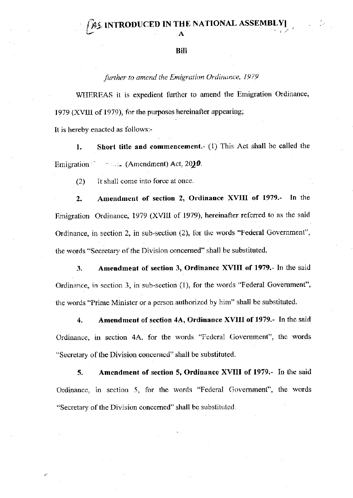## Bill

further to amend the Emigration Ordinance, 1979

WHEREAS it is expedient further to amend the Emigration Ordinance, 1979 (XVIII of 1979), for the purposes hereinafter appearing;

It is hereby enacted as follows:-

Short title and commencement. (1) This Act shall be called the  $1.$  $\sim$  (Amendment) Act, 2019. Emigration

 $(2)$ It shall come into force at once.

Amendment of section 2, Ordinance XVIII of 1979.-In the  $2.$ Emigration Ordinance, 1979 (XVIII of 1979), hereinafter referred to as the said Ordinance, in section 2, in sub-section (2), for the words "Federal Government", the words "Secretary of the Division concerned" shall be substituted.

Amendment of section 3, Ordinance XVIII of 1979.- In the said 3. Ordinance, in section 3, in sub-section (1), for the words "Federal Government", the words "Prime Minister or a person authorized by him" shall be substituted.

Amendment of section 4A, Ordinance XVIII of 1979.- In the said  $\overline{4}$ . Ordinance, in section 4A, for the words "Federal Government", the words "Secretary of the Division concerned" shall be substituted.

Amendment of section 5, Ordinance XVIII of 1979.- In the said 5. Ordinance, in section 5, for the words "Federal Government", the words "Secretary of the Division concerned" shall be substituted.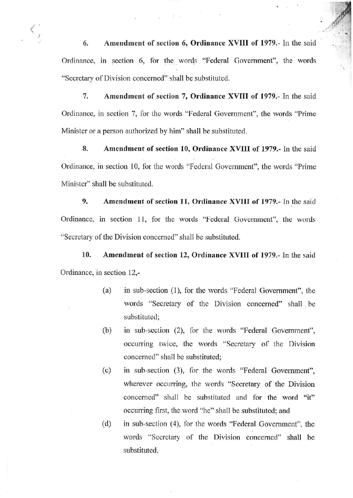Amendment of section 6, Ordinance XVIII of 1979.- In the said 6. Ordinance, in section 6, for the words "Federal Government", the words "Secretary of Division concerned" shall be substituted.

 $1.11 - 3.11$ 

7. Amendment of section 7, Ordinance XVIII of 1979.- In the said Ordinance, in section 7, for the words "Federal Government", the words "Prime Minister or a person authorized by him" shall be substituted.

8. Amendment of section 10, Ordinance XVIII of 1979.- In the said Ordinance, in section 10, for the words "Federal Government", the words "Prime" Minister" shall be substituted.

9. Amendment of section 11, Ordinance XVIII of 1979.- In the said Ordinance, in section 11, for the words "Federal Government", the words "Secretary of the Division concerned" shall be substituted.

10. Amendment of section 12, Ordinance XVIII of 1979.- In the said Ordinance, in section 12,-

- $(a)$ in sub-section (1), for the words "Federal Government", the words "Secretary of the Division concerned" shall be substituted;
- $(b)$ in sub-section (2), for the words "Federal Government", occurring twice, the words "Secretary of the Division concerned" shall be substituted;
- $(c)$ in sub-section (3), for the words "Federal Government", wherever occurring, the words "Secretary of the Division concerned" shall be substituted and for the word "it" occurring first, the word "he" shall be substituted; and

 $(d)$ in sub-section (4), for the words "Federal Government", the words "Secretary of the Division concerned" shall be substituted.